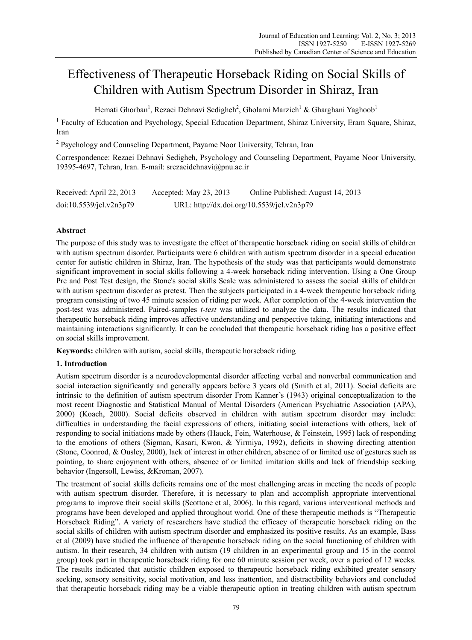# Effectiveness of Therapeutic Horseback Riding on Social Skills of Children with Autism Spectrum Disorder in Shiraz, Iran

Hemati Ghorban<sup>1</sup>, Rezaei Dehnavi Sedigheh<sup>2</sup>, Gholami Marzieh<sup>1</sup> & Gharghani Yaghoob<sup>1</sup>

<sup>1</sup> Faculty of Education and Psychology, Special Education Department, Shiraz University, Eram Square, Shiraz, Iran

<sup>2</sup> Psychology and Counseling Department, Payame Noor University, Tehran, Iran

Correspondence: Rezaei Dehnavi Sedigheh, Psychology and Counseling Department, Payame Noor University, 19395-4697, Tehran, Iran. E-mail: srezaeidehnavi@pnu.ac.ir

| Received: April 22, 2013 | Accepted: May $23, 2013$ | Online Published: August 14, 2013          |
|--------------------------|--------------------------|--------------------------------------------|
| doi:10.5539/1el.v2n3p79  |                          | URL: http://dx.doi.org/10.5539/jel.v2n3p79 |

# **Abstract**

The purpose of this study was to investigate the effect of therapeutic horseback riding on social skills of children with autism spectrum disorder. Participants were 6 children with autism spectrum disorder in a special education center for autistic children in Shiraz, Iran. The hypothesis of the study was that participants would demonstrate significant improvement in social skills following a 4-week horseback riding intervention. Using a One Group Pre and Post Test design, the Stone's social skills Scale was administered to assess the social skills of children with autism spectrum disorder as pretest. Then the subjects participated in a 4-week therapeutic horseback riding program consisting of two 45 minute session of riding per week. After completion of the 4-week intervention the post-test was administered. Paired-samples *t-test* was utilized to analyze the data. The results indicated that therapeutic horseback riding improves affective understanding and perspective taking, initiating interactions and maintaining interactions significantly. It can be concluded that therapeutic horseback riding has a positive effect on social skills improvement.

**Keywords:** children with autism, social skills, therapeutic horseback riding

# **1. Introduction**

Autism spectrum disorder is a neurodevelopmental disorder affecting verbal and nonverbal communication and social interaction significantly and generally appears before 3 years old (Smith et al, 2011). Social deficits are intrinsic to the definition of autism spectrum disorder From Kanner's (1943) original conceptualization to the most recent Diagnostic and Statistical Manual of Mental Disorders (American Psychiatric Association (APA), 2000) (Koach, 2000). Social deficits observed in children with autism spectrum disorder may include: difficulties in understanding the facial expressions of others, initiating social interactions with others, lack of responding to social initiations made by others (Hauck, Fein, Waterhouse, & Feinstein, 1995) lack of responding to the emotions of others (Sigman, Kasari, Kwon, & Yirmiya, 1992), deficits in showing directing attention (Stone, Coonrod, & Ousley, 2000), lack of interest in other children, absence of or limited use of gestures such as pointing, to share enjoyment with others, absence of or limited imitation skills and lack of friendship seeking behavior (Ingersoll, Lewiss, &Kroman, 2007).

The treatment of social skills deficits remains one of the most challenging areas in meeting the needs of people with autism spectrum disorder. Therefore, it is necessary to plan and accomplish appropriate interventional programs to improve their social skills (Scottone et al, 2006). In this regard, various interventional methods and programs have been developed and applied throughout world. One of these therapeutic methods is "Therapeutic Horseback Riding". A variety of researchers have studied the efficacy of therapeutic horseback riding on the social skills of children with autism spectrum disorder and emphasized its positive results. As an example, Bass et al (2009) have studied the influence of therapeutic horseback riding on the social functioning of children with autism. In their research, 34 children with autism (19 children in an experimental group and 15 in the control group) took part in therapeutic horseback riding for one 60 minute session per week, over a period of 12 weeks. The results indicated that autistic children exposed to therapeutic horseback riding exhibited greater sensory seeking, sensory sensitivity, social motivation, and less inattention, and distractibility behaviors and concluded that therapeutic horseback riding may be a viable therapeutic option in treating children with autism spectrum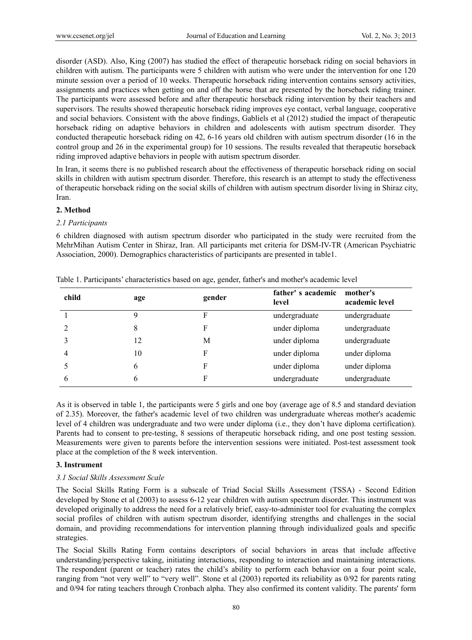disorder (ASD). Also, King (2007) has studied the effect of therapeutic horseback riding on social behaviors in children with autism. The participants were 5 children with autism who were under the intervention for one 120 minute session over a period of 10 weeks. Therapeutic horseback riding intervention contains sensory activities, assignments and practices when getting on and off the horse that are presented by the horseback riding trainer. The participants were assessed before and after therapeutic horseback riding intervention by their teachers and supervisors. The results showed therapeutic horseback riding improves eye contact, verbal language, cooperative and social behaviors. Consistent with the above findings, Gabliels et al (2012) studied the impact of therapeutic horseback riding on adaptive behaviors in children and adolescents with autism spectrum disorder. They conducted therapeutic horseback riding on 42, 6-16 years old children with autism spectrum disorder (16 in the control group and 26 in the experimental group) for 10 sessions. The results revealed that therapeutic horseback riding improved adaptive behaviors in people with autism spectrum disorder.

In Iran, it seems there is no published research about the effectiveness of therapeutic horseback riding on social skills in children with autism spectrum disorder. Therefore, this research is an attempt to study the effectiveness of therapeutic horseback riding on the social skills of children with autism spectrum disorder living in Shiraz city, Iran.

## **2. Method**

#### *2.1 Participants*

6 children diagnosed with autism spectrum disorder who participated in the study were recruited from the MehrMihan Autism Center in Shiraz, Iran. All participants met criteria for DSM-IV-TR (American Psychiatric Association, 2000). Demographics characteristics of participants are presented in table1.

| child | age | gender | father' s academic<br>level | mother's<br>academic level |
|-------|-----|--------|-----------------------------|----------------------------|
|       |     | F      | undergraduate               | undergraduate              |
|       | 8   | F      | under diploma               | undergraduate              |
|       | 12  | М      | under diploma               | undergraduate              |
| 4     | 10  | F      | under diploma               | under diploma              |
|       | 6   | F      | under diploma               | under diploma              |
| 6     | 6   | F      | undergraduate               | undergraduate              |

Table 1. Participants' characteristics based on age, gender, father's and mother's academic level

As it is observed in table 1, the participants were 5 girls and one boy (average age of 8.5 and standard deviation of 2.35). Moreover, the father's academic level of two children was undergraduate whereas mother's academic level of 4 children was undergraduate and two were under diploma (i.e., they don't have diploma certification). Parents had to consent to pre-testing, 8 sessions of therapeutic horseback riding, and one post testing session. Measurements were given to parents before the intervention sessions were initiated. Post-test assessment took place at the completion of the 8 week intervention.

## **3. Instrument**

#### *3.1 Social Skills Assessment Scale*

The Social Skills Rating Form is a subscale of Triad Social Skills Assessment (TSSA) - Second Edition developed by Stone et al (2003) to assess 6-12 year children with autism spectrum disorder. This instrument was developed originally to address the need for a relatively brief, easy-to-administer tool for evaluating the complex social profiles of children with autism spectrum disorder, identifying strengths and challenges in the social domain, and providing recommendations for intervention planning through individualized goals and specific strategies.

The Social Skills Rating Form contains descriptors of social behaviors in areas that include affective understanding/perspective taking, initiating interactions, responding to interaction and maintaining interactions. The respondent (parent or teacher) rates the child's ability to perform each behavior on a four point scale, ranging from "not very well" to "very well". Stone et al (2003) reported its reliability as 0/92 for parents rating and 0/94 for rating teachers through Cronbach alpha. They also confirmed its content validity. The parents' form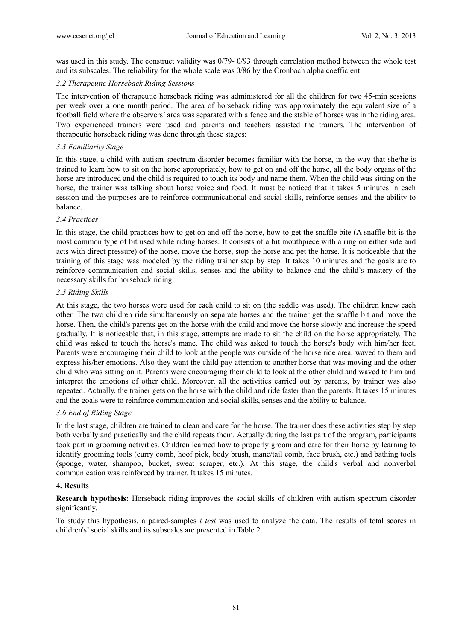was used in this study. The construct validity was 0/79- 0/93 through correlation method between the whole test and its subscales. The reliability for the whole scale was 0/86 by the Cronbach alpha coefficient.

# *3.2 Therapeutic Horseback Riding Sessions*

The intervention of therapeutic horseback riding was administered for all the children for two 45-min sessions per week over a one month period. The area of horseback riding was approximately the equivalent size of a football field where the observers' area was separated with a fence and the stable of horses was in the riding area. Two experienced trainers were used and parents and teachers assisted the trainers. The intervention of therapeutic horseback riding was done through these stages:

# *3.3 Familiarity Stage*

In this stage, a child with autism spectrum disorder becomes familiar with the horse, in the way that she/he is trained to learn how to sit on the horse appropriately, how to get on and off the horse, all the body organs of the horse are introduced and the child is required to touch its body and name them. When the child was sitting on the horse, the trainer was talking about horse voice and food. It must be noticed that it takes 5 minutes in each session and the purposes are to reinforce communicational and social skills, reinforce senses and the ability to balance.

# *3.4 Practices*

In this stage, the child practices how to get on and off the horse, how to get the snaffle bite (A snaffle bit is the most common type of bit used while riding horses. It consists of a bit mouthpiece with a ring on either side and acts with direct pressure) of the horse, move the horse, stop the horse and pet the horse. It is noticeable that the training of this stage was modeled by the riding trainer step by step. It takes 10 minutes and the goals are to reinforce communication and social skills, senses and the ability to balance and the child's mastery of the necessary skills for horseback riding.

## *3.5 Riding Skills*

At this stage, the two horses were used for each child to sit on (the saddle was used). The children knew each other. The two children ride simultaneously on separate horses and the trainer get the snaffle bit and move the horse. Then, the child's parents get on the horse with the child and move the horse slowly and increase the speed gradually. It is noticeable that, in this stage, attempts are made to sit the child on the horse appropriately. The child was asked to touch the horse's mane. The child was asked to touch the horse's body with him/her feet. Parents were encouraging their child to look at the people was outside of the horse ride area, waved to them and express his/her emotions. Also they want the child pay attention to another horse that was moving and the other child who was sitting on it. Parents were encouraging their child to look at the other child and waved to him and interpret the emotions of other child. Moreover, all the activities carried out by parents, by trainer was also repeated. Actually, the trainer gets on the horse with the child and ride faster than the parents. It takes 15 minutes and the goals were to reinforce communication and social skills, senses and the ability to balance.

# *3.6 End of Riding Stage*

In the last stage, children are trained to clean and care for the horse. The trainer does these activities step by step both verbally and practically and the child repeats them. Actually during the last part of the program, participants took part in grooming activities. Children learned how to properly groom and care for their horse by learning to identify grooming tools (curry comb, hoof pick, body brush, mane/tail comb, face brush, etc.) and bathing tools (sponge, water, shampoo, bucket, sweat scraper, etc.). At this stage, the child's verbal and nonverbal communication was reinforced by trainer. It takes 15 minutes.

## **4. Results**

**Research hypothesis:** Horseback riding improves the social skills of children with autism spectrum disorder significantly.

To study this hypothesis, a paired-samples *t test* was used to analyze the data. The results of total scores in children's' social skills and its subscales are presented in Table 2.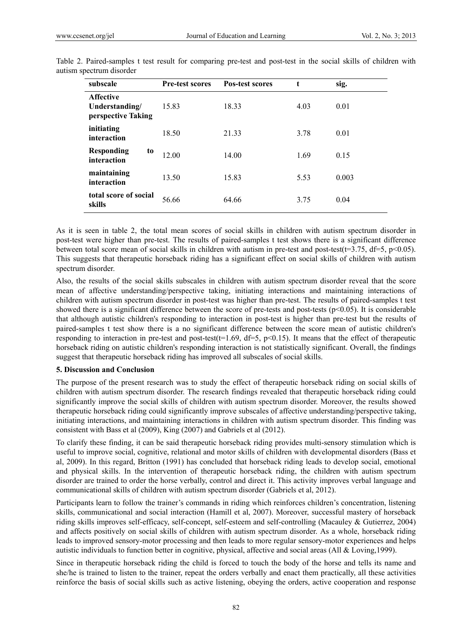| subscale                                                 | <b>Pre-test scores</b> | <b>Pos-test scores</b> | t    | sig.  |
|----------------------------------------------------------|------------------------|------------------------|------|-------|
| <b>Affective</b><br>Understanding/<br>perspective Taking | 15.83                  | 18.33                  | 4.03 | 0.01  |
| initiating<br>interaction                                | 18.50                  | 21.33                  | 3.78 | 0.01  |
| <b>Responding</b><br>to<br>interaction                   | 12.00                  | 14.00                  | 1.69 | 0.15  |
| maintaining<br>interaction                               | 13.50                  | 15.83                  | 5.53 | 0.003 |
| total score of social<br>skills                          | 56.66                  | 64.66                  | 3.75 | 0.04  |

Table 2. Paired-samples t test result for comparing pre-test and post-test in the social skills of children with autism spectrum disorder

As it is seen in table 2, the total mean scores of social skills in children with autism spectrum disorder in post-test were higher than pre-test. The results of paired-samples t test shows there is a significant difference between total score mean of social skills in children with autism in pre-test and post-test( $t=3.75$ ,  $df=5$ ,  $p<0.05$ ). This suggests that therapeutic horseback riding has a significant effect on social skills of children with autism spectrum disorder.

Also, the results of the social skills subscales in children with autism spectrum disorder reveal that the score mean of affective understanding/perspective taking, initiating interactions and maintaining interactions of children with autism spectrum disorder in post-test was higher than pre-test. The results of paired-samples t test showed there is a significant difference between the score of pre-tests and post-tests ( $p<0.05$ ). It is considerable that although autistic children's responding to interaction in post-test is higher than pre-test but the results of paired-samples t test show there is a no significant difference between the score mean of autistic children's responding to interaction in pre-test and post-test(t=1.69, df=5, p<0.15). It means that the effect of therapeutic horseback riding on autistic children's responding interaction is not statistically significant. Overall, the findings suggest that therapeutic horseback riding has improved all subscales of social skills.

#### **5. Discussion and Conclusion**

The purpose of the present research was to study the effect of therapeutic horseback riding on social skills of children with autism spectrum disorder. The research findings revealed that therapeutic horseback riding could significantly improve the social skills of children with autism spectrum disorder. Moreover, the results showed therapeutic horseback riding could significantly improve subscales of affective understanding/perspective taking, initiating interactions, and maintaining interactions in children with autism spectrum disorder. This finding was consistent with Bass et al (2009), King (2007) and Gabriels et al (2012).

To clarify these finding, it can be said therapeutic horseback riding provides multi-sensory stimulation which is useful to improve social, cognitive, relational and motor skills of children with developmental disorders (Bass et al, 2009). In this regard, Britton (1991) has concluded that horseback riding leads to develop social, emotional and physical skills. In the intervention of therapeutic horseback riding, the children with autism spectrum disorder are trained to order the horse verbally, control and direct it. This activity improves verbal language and communicational skills of children with autism spectrum disorder (Gabriels et al, 2012).

Participants learn to follow the trainer's commands in riding which reinforces children's concentration, listening skills, communicational and social interaction (Hamill et al, 2007). Moreover, successful mastery of horseback riding skills improves self-efficacy, self-concept, self-esteem and self-controlling (Macauley & Gutierrez, 2004) and affects positively on social skills of children with autism spectrum disorder. As a whole, horseback riding leads to improved sensory-motor processing and then leads to more regular sensory-motor experiences and helps autistic individuals to function better in cognitive, physical, affective and social areas (All & Loving,1999).

Since in therapeutic horseback riding the child is forced to touch the body of the horse and tells its name and she/he is trained to listen to the trainer, repeat the orders verbally and enact them practically, all these activities reinforce the basis of social skills such as active listening, obeying the orders, active cooperation and response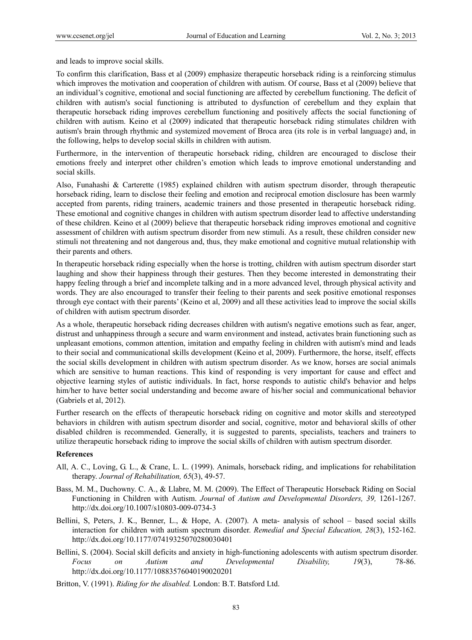and leads to improve social skills.

To confirm this clarification, Bass et al (2009) emphasize therapeutic horseback riding is a reinforcing stimulus which improves the motivation and cooperation of children with autism. Of course, Bass et al (2009) believe that an individual's cognitive, emotional and social functioning are affected by cerebellum functioning. The deficit of children with autism's social functioning is attributed to dysfunction of cerebellum and they explain that therapeutic horseback riding improves cerebellum functioning and positively affects the social functioning of children with autism. Keino et al (2009) indicated that therapeutic horseback riding stimulates children with autism's brain through rhythmic and systemized movement of Broca area (its role is in verbal language) and, in the following, helps to develop social skills in children with autism.

Furthermore, in the intervention of therapeutic horseback riding, children are encouraged to disclose their emotions freely and interpret other children's emotion which leads to improve emotional understanding and social skills.

Also, Funahashi & Carterette (1985) explained children with autism spectrum disorder, through therapeutic horseback riding, learn to disclose their feeling and emotion and reciprocal emotion disclosure has been warmly accepted from parents, riding trainers, academic trainers and those presented in therapeutic horseback riding. These emotional and cognitive changes in children with autism spectrum disorder lead to affective understanding of these children. Keino et al (2009) believe that therapeutic horseback riding improves emotional and cognitive assessment of children with autism spectrum disorder from new stimuli. As a result, these children consider new stimuli not threatening and not dangerous and, thus, they make emotional and cognitive mutual relationship with their parents and others.

In therapeutic horseback riding especially when the horse is trotting, children with autism spectrum disorder start laughing and show their happiness through their gestures. Then they become interested in demonstrating their happy feeling through a brief and incomplete talking and in a more advanced level, through physical activity and words. They are also encouraged to transfer their feeling to their parents and seek positive emotional responses through eye contact with their parents' (Keino et al, 2009) and all these activities lead to improve the social skills of children with autism spectrum disorder.

As a whole, therapeutic horseback riding decreases children with autism's negative emotions such as fear, anger, distrust and unhappiness through a secure and warm environment and instead, activates brain functioning such as unpleasant emotions, common attention, imitation and empathy feeling in children with autism's mind and leads to their social and communicational skills development (Keino et al, 2009). Furthermore, the horse, itself, effects the social skills development in children with autism spectrum disorder. As we know, horses are social animals which are sensitive to human reactions. This kind of responding is very important for cause and effect and objective learning styles of autistic individuals. In fact, horse responds to autistic child's behavior and helps him/her to have better social understanding and become aware of his/her social and communicational behavior (Gabriels et al, 2012).

Further research on the effects of therapeutic horseback riding on cognitive and motor skills and stereotyped behaviors in children with autism spectrum disorder and social, cognitive, motor and behavioral skills of other disabled children is recommended. Generally, it is suggested to parents, specialists, teachers and trainers to utilize therapeutic horseback riding to improve the social skills of children with autism spectrum disorder.

## **References**

- All, A. C., Loving, G. L., & Crane, L. L. (1999). Animals, horseback riding, and implications for rehabilitation therapy. *Journal of Rehabilitation, 65*(3), 49-57.
- Bass, M. M., Duchowny. C. A., & Llabre, M. M. (2009). The Effect of Therapeutic Horseback Riding on Social Functioning in Children with Autism. *Journal* of *Autism and Developmental Disorders, 39,* 1261-1267. http://dx.doi.org/10.1007/s10803-009-0734-3
- Bellini, S, Peters, J. K., Benner, L., & Hope, A. (2007). A meta- analysis of school based social skills interaction for children with autism spectrum disorder. *Remedial and Special Education, 28*(3), 152-162. http://dx.doi.org/10.1177/07419325070280030401
- Bellini, S. (2004). Social skill deficits and anxiety in high-functioning adolescents with autism spectrum disorder. *Focus on Autism and Developmental Disability, 19*(3), 78-86. http://dx.doi.org/10.1177/10883576040190020201
- Britton, V. (1991). *Riding for the disabled.* London: B.T. Batsford Ltd.